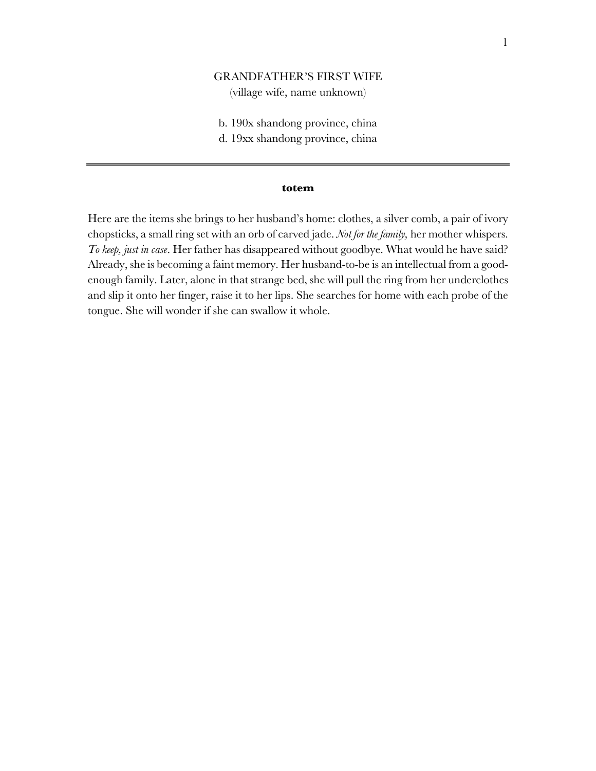## GRANDFATHER'S FIRST WIFE

(village wife, name unknown)

- b. 190x shandong province, china
- d. 19xx shandong province, china

#### **totem**

Here are the items she brings to her husband's home: clothes, a silver comb, a pair of ivory chopsticks, a small ring set with an orb of carved jade. *Not for the family,* her mother whispers. *To keep, just in case*. Her father has disappeared without goodbye. What would he have said? Already, she is becoming a faint memory. Her husband-to-be is an intellectual from a goodenough family. Later, alone in that strange bed, she will pull the ring from her underclothes and slip it onto her finger, raise it to her lips. She searches for home with each probe of the tongue. She will wonder if she can swallow it whole.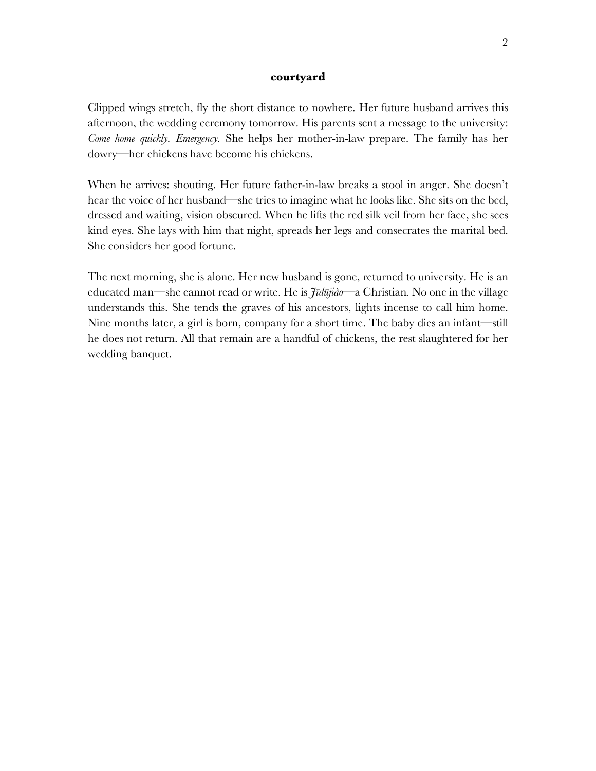#### **courtyard**

Clipped wings stretch, fly the short distance to nowhere. Her future husband arrives this afternoon, the wedding ceremony tomorrow. His parents sent a message to the university: *Come home quickly. Emergency.* She helps her mother-in-law prepare. The family has her dowry—her chickens have become his chickens.

When he arrives: shouting. Her future father-in-law breaks a stool in anger. She doesn't hear the voice of her husband—she tries to imagine what he looks like. She sits on the bed, dressed and waiting, vision obscured. When he lifts the red silk veil from her face, she sees kind eyes. She lays with him that night, spreads her legs and consecrates the marital bed. She considers her good fortune.

The next morning, she is alone. Her new husband is gone, returned to university. He is an educated man—she cannot read or write. He is *Jīdūjiào—*a Christian*.* No one in the village understands this. She tends the graves of his ancestors, lights incense to call him home. Nine months later, a girl is born, company for a short time. The baby dies an infant—still he does not return. All that remain are a handful of chickens, the rest slaughtered for her wedding banquet.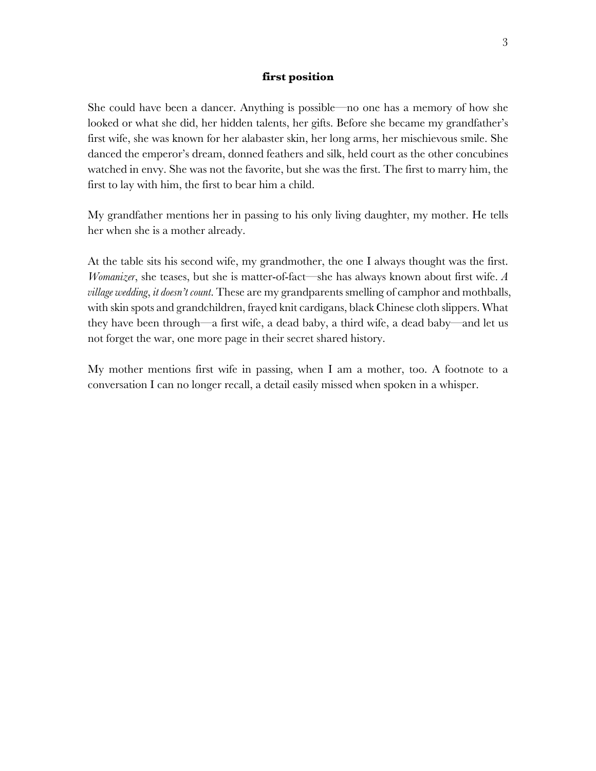#### **first position**

She could have been a dancer. Anything is possible—no one has a memory of how she looked or what she did, her hidden talents, her gifts. Before she became my grandfather's first wife, she was known for her alabaster skin, her long arms, her mischievous smile. She danced the emperor's dream, donned feathers and silk, held court as the other concubines watched in envy. She was not the favorite, but she was the first. The first to marry him, the first to lay with him, the first to bear him a child.

My grandfather mentions her in passing to his only living daughter, my mother. He tells her when she is a mother already.

At the table sits his second wife, my grandmother, the one I always thought was the first. *Womanizer*, she teases, but she is matter-of-fact—she has always known about first wife. *A village wedding*, *it doesn't count*. These are my grandparents smelling of camphor and mothballs, with skin spots and grandchildren, frayed knit cardigans, black Chinese cloth slippers. What they have been through—a first wife, a dead baby, a third wife, a dead baby—and let us not forget the war, one more page in their secret shared history.

My mother mentions first wife in passing, when I am a mother, too. A footnote to a conversation I can no longer recall, a detail easily missed when spoken in a whisper.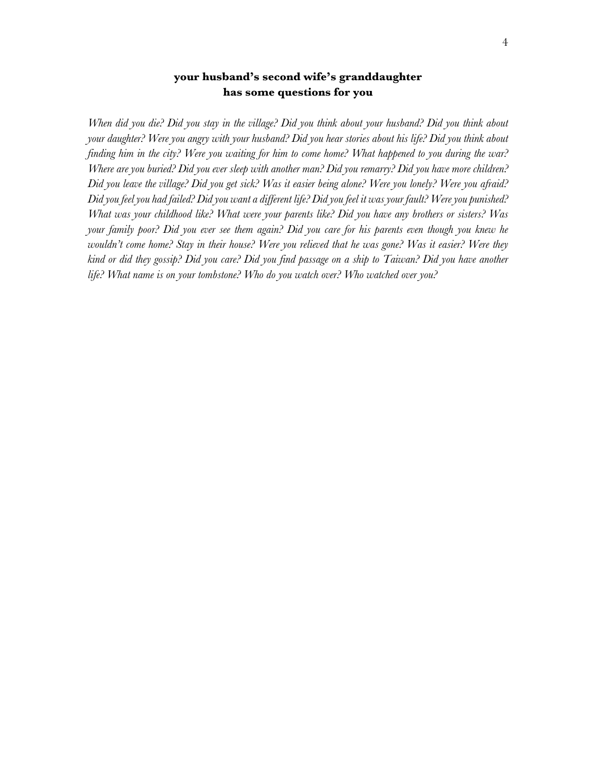# **your husband's second wife's granddaughter has some questions for you**

*When did you die? Did you stay in the village? Did you think about your husband? Did you think about your daughter? Were you angry with your husband? Did you hear stories about his life? Did you think about finding him in the city? Were you waiting for him to come home? What happened to you during the war? Where are you buried? Did you ever sleep with another man? Did you remarry? Did you have more children? Did you leave the village? Did you get sick? Was it easier being alone? Were you lonely? Were you afraid? Did you feel you had failed? Did you want a different life? Did you feel it was your fault? Were you punished? What was your childhood like? What were your parents like? Did you have any brothers or sisters? Was your family poor? Did you ever see them again? Did you care for his parents even though you knew he wouldn't come home? Stay in their house? Were you relieved that he was gone? Was it easier? Were they kind or did they gossip? Did you care? Did you find passage on a ship to Taiwan? Did you have another life? What name is on your tombstone? Who do you watch over? Who watched over you?*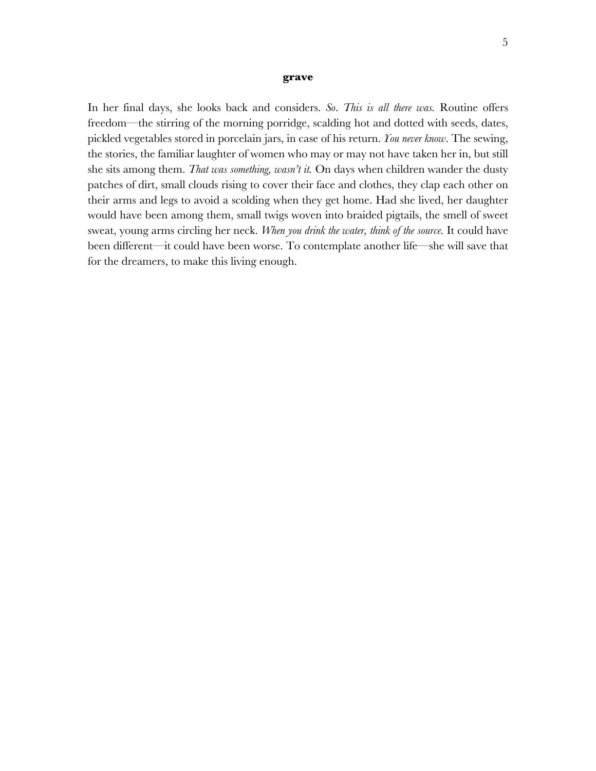#### **grave**

In her final days, she looks back and considers. *So*. *This is all there was.* Routine offers freedom—the stirring of the morning porridge, scalding hot and dotted with seeds, dates, pickled vegetables stored in porcelain jars, in case of his return. *You never know*. The sewing, the stories, the familiar laughter of women who may or may not have taken her in, but still she sits among them. *That was something, wasn't it.* On days when children wander the dusty patches of dirt, small clouds rising to cover their face and clothes, they clap each other on their arms and legs to avoid a scolding when they get home. Had she lived, her daughter would have been among them, small twigs woven into braided pigtails, the smell of sweet sweat, young arms circling her neck. *When you drink the water, think of the source.* It could have been different—it could have been worse. To contemplate another life—she will save that for the dreamers, to make this living enough.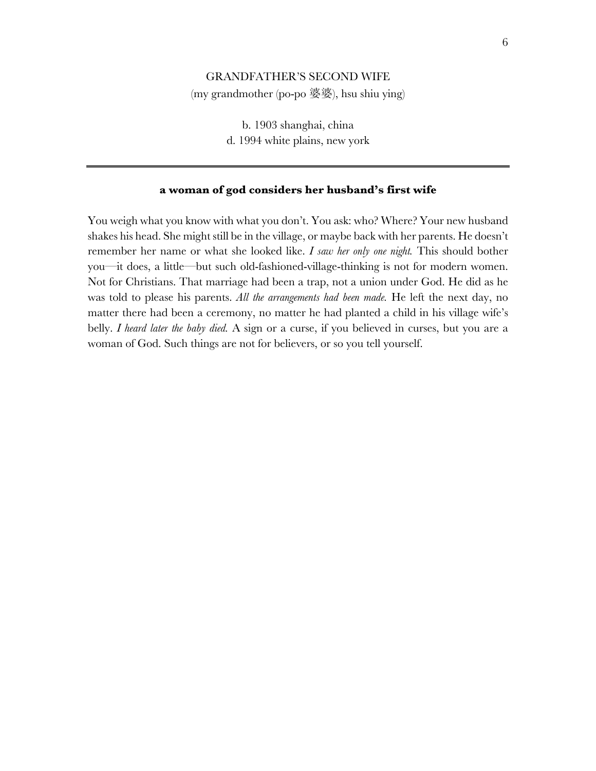## GRANDFATHER'S SECOND WIFE

(my grandmother (po-po 婆婆), hsu shiu ying)

b. 1903 shanghai, china d. 1994 white plains, new york

### **a woman of god considers her husband's first wife**

You weigh what you know with what you don't. You ask: who? Where? Your new husband shakes his head. She might still be in the village, or maybe back with her parents. He doesn't remember her name or what she looked like. *I saw her only one night.* This should bother you—it does, a little—but such old-fashioned-village-thinking is not for modern women. Not for Christians. That marriage had been a trap, not a union under God. He did as he was told to please his parents. *All the arrangements had been made.* He left the next day, no matter there had been a ceremony, no matter he had planted a child in his village wife's belly. *I heard later the baby died.* A sign or a curse, if you believed in curses, but you are a woman of God. Such things are not for believers, or so you tell yourself.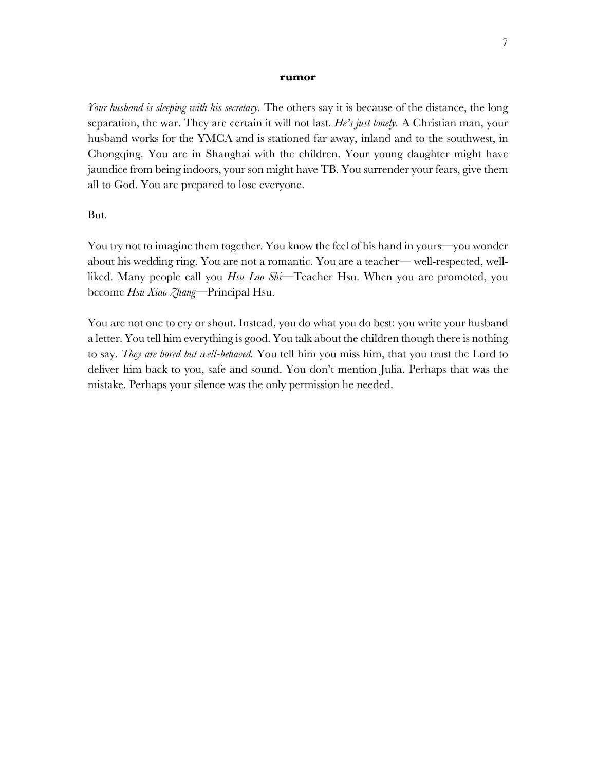#### **rumor**

*Your husband is sleeping with his secretary.* The others say it is because of the distance, the long separation, the war. They are certain it will not last. *He's just lonely.* A Christian man, your husband works for the YMCA and is stationed far away, inland and to the southwest, in Chongqing. You are in Shanghai with the children. Your young daughter might have jaundice from being indoors, your son might have TB. You surrender your fears, give them all to God. You are prepared to lose everyone.

But.

You try not to imagine them together. You know the feel of his hand in yours—you wonder about his wedding ring. You are not a romantic. You are a teacher— well-respected, wellliked. Many people call you *Hsu Lao Shi*—Teacher Hsu. When you are promoted, you become *Hsu Xiao Zhang*—Principal Hsu.

You are not one to cry or shout. Instead, you do what you do best: you write your husband a letter. You tell him everything is good. You talk about the children though there is nothing to say. *They are bored but well-behaved.* You tell him you miss him, that you trust the Lord to deliver him back to you, safe and sound. You don't mention Julia. Perhaps that was the mistake. Perhaps your silence was the only permission he needed.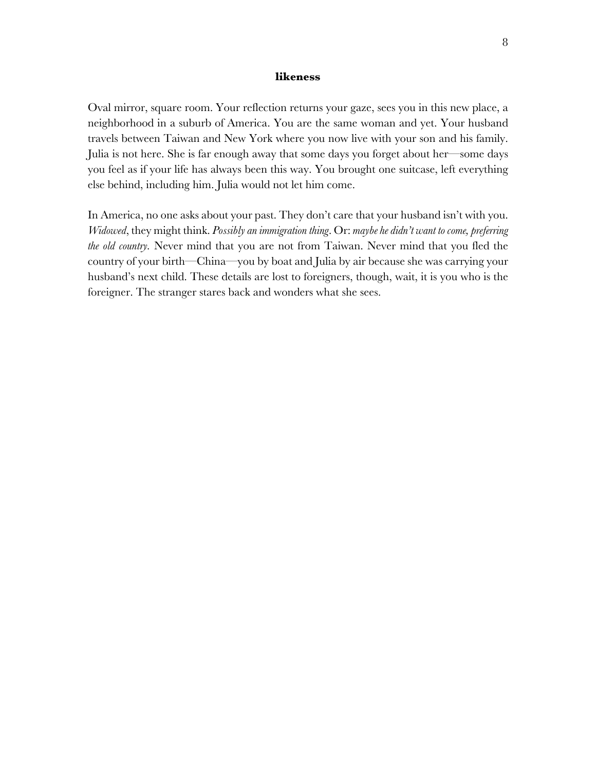#### **likeness**

Oval mirror, square room. Your reflection returns your gaze, sees you in this new place, a neighborhood in a suburb of America. You are the same woman and yet. Your husband travels between Taiwan and New York where you now live with your son and his family. Julia is not here. She is far enough away that some days you forget about her—some days you feel as if your life has always been this way. You brought one suitcase, left everything else behind, including him. Julia would not let him come.

In America, no one asks about your past. They don't care that your husband isn't with you. *Widowed*, they might think. *Possibly an immigration thing*. Or: *maybe he didn't want to come, preferring the old country.* Never mind that you are not from Taiwan. Never mind that you fled the country of your birth—China—you by boat and Julia by air because she was carrying your husband's next child. These details are lost to foreigners, though, wait, it is you who is the foreigner. The stranger stares back and wonders what she sees.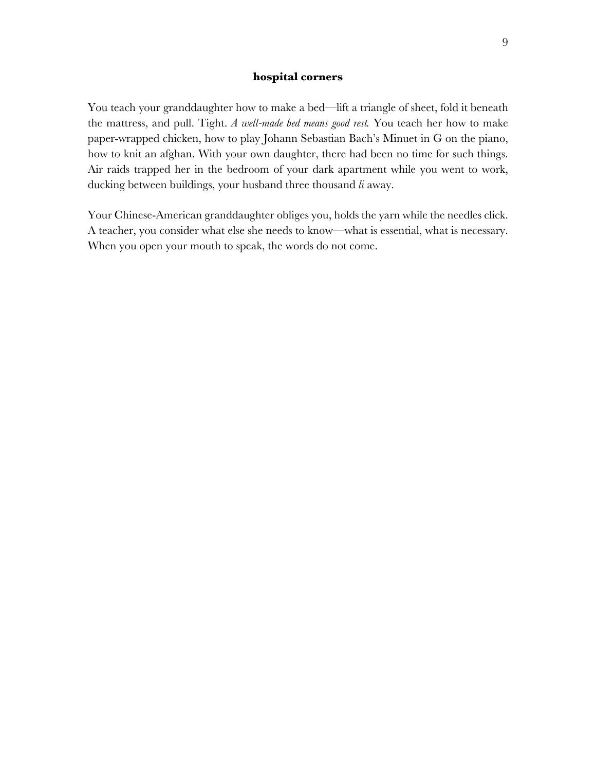#### **hospital corners**

You teach your granddaughter how to make a bed—lift a triangle of sheet, fold it beneath the mattress, and pull. Tight. *A well-made bed means good rest.* You teach her how to make paper-wrapped chicken, how to play Johann Sebastian Bach's Minuet in G on the piano, how to knit an afghan. With your own daughter, there had been no time for such things. Air raids trapped her in the bedroom of your dark apartment while you went to work, ducking between buildings, your husband three thousand *li* away.

Your Chinese-American granddaughter obliges you, holds the yarn while the needles click. A teacher, you consider what else she needs to know—what is essential, what is necessary. When you open your mouth to speak, the words do not come.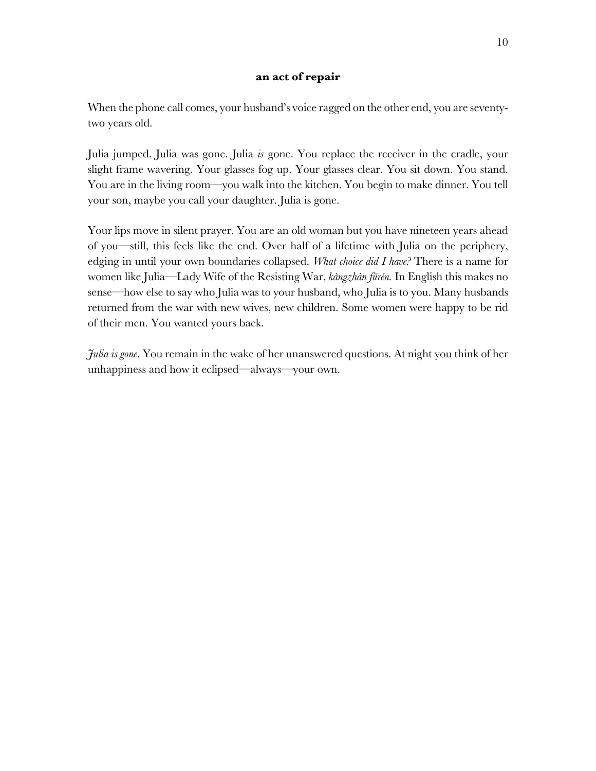### **an act of repair**

When the phone call comes, your husband's voice ragged on the other end, you are seventytwo years old.

Julia jumped. Julia was gone. Julia *is* gone. You replace the receiver in the cradle, your slight frame wavering. Your glasses fog up. Your glasses clear. You sit down. You stand. You are in the living room—you walk into the kitchen. You begin to make dinner. You tell your son, maybe you call your daughter. Julia is gone.

Your lips move in silent prayer. You are an old woman but you have nineteen years ahead of you—still, this feels like the end. Over half of a lifetime with Julia on the periphery, edging in until your own boundaries collapsed. *What choice did I have?* There is a name for women like Julia—Lady Wife of the Resisting War, *kàngzhàn fūrén.* In English this makes no sense—how else to say who Julia was to your husband, who Julia is to you. Many husbands returned from the war with new wives, new children. Some women were happy to be rid of their men. You wanted yours back.

*Julia is gone*. You remain in the wake of her unanswered questions. At night you think of her unhappiness and how it eclipsed—always—your own.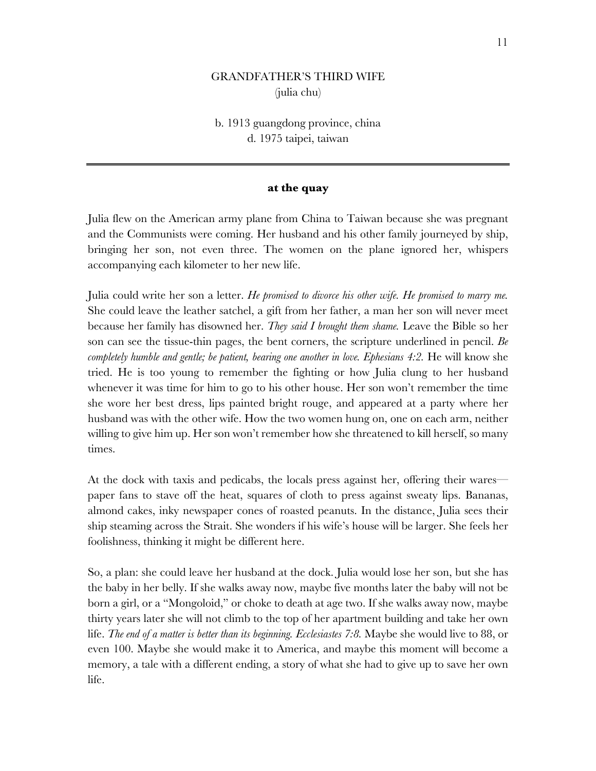# GRANDFATHER'S THIRD WIFE (julia chu)

# b. 1913 guangdong province, china d. 1975 taipei, taiwan

### **at the quay**

Julia flew on the American army plane from China to Taiwan because she was pregnant and the Communists were coming. Her husband and his other family journeyed by ship, bringing her son, not even three. The women on the plane ignored her, whispers accompanying each kilometer to her new life.

Julia could write her son a letter. *He promised to divorce his other wife. He promised to marry me.*  She could leave the leather satchel, a gift from her father, a man her son will never meet because her family has disowned her. *They said I brought them shame.* Leave the Bible so her son can see the tissue-thin pages, the bent corners, the scripture underlined in pencil. *Be completely humble and gentle; be patient, bearing one another in love. Ephesians 4:2.* He will know she tried. He is too young to remember the fighting or how Julia clung to her husband whenever it was time for him to go to his other house. Her son won't remember the time she wore her best dress, lips painted bright rouge, and appeared at a party where her husband was with the other wife. How the two women hung on, one on each arm, neither willing to give him up. Her son won't remember how she threatened to kill herself, so many times.

At the dock with taxis and pedicabs, the locals press against her, offering their wares paper fans to stave off the heat, squares of cloth to press against sweaty lips. Bananas, almond cakes, inky newspaper cones of roasted peanuts. In the distance, Julia sees their ship steaming across the Strait. She wonders if his wife's house will be larger. She feels her foolishness, thinking it might be different here.

So, a plan: she could leave her husband at the dock. Julia would lose her son, but she has the baby in her belly. If she walks away now, maybe five months later the baby will not be born a girl, or a "Mongoloid," or choke to death at age two. If she walks away now, maybe thirty years later she will not climb to the top of her apartment building and take her own life. *The end of a matter is better than its beginning. Ecclesiastes 7:8*. Maybe she would live to 88, or even 100. Maybe she would make it to America, and maybe this moment will become a memory, a tale with a different ending, a story of what she had to give up to save her own life.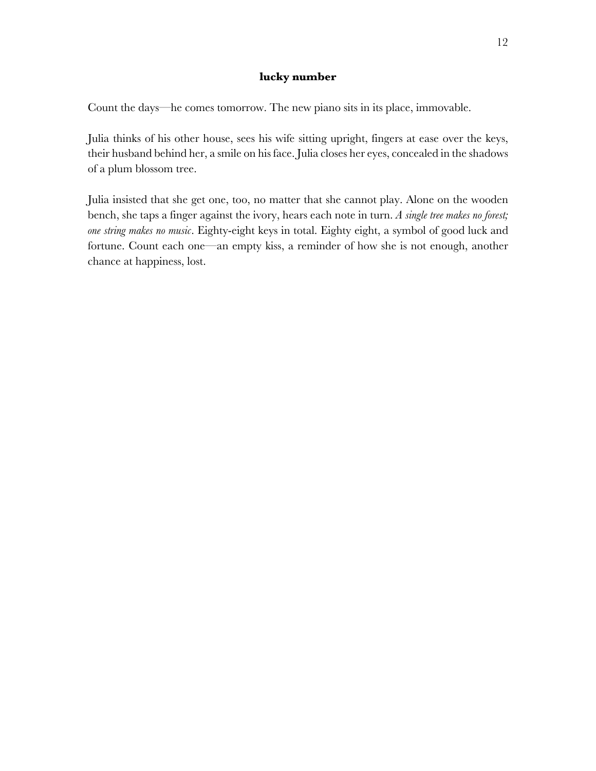## **lucky number**

Count the days—he comes tomorrow. The new piano sits in its place, immovable.

Julia thinks of his other house, sees his wife sitting upright, fingers at ease over the keys, their husband behind her, a smile on his face. Julia closes her eyes, concealed in the shadows of a plum blossom tree.

Julia insisted that she get one, too, no matter that she cannot play. Alone on the wooden bench, she taps a finger against the ivory, hears each note in turn. *A single tree makes no forest; one string makes no music*. Eighty-eight keys in total. Eighty eight, a symbol of good luck and fortune. Count each one—an empty kiss, a reminder of how she is not enough, another chance at happiness, lost.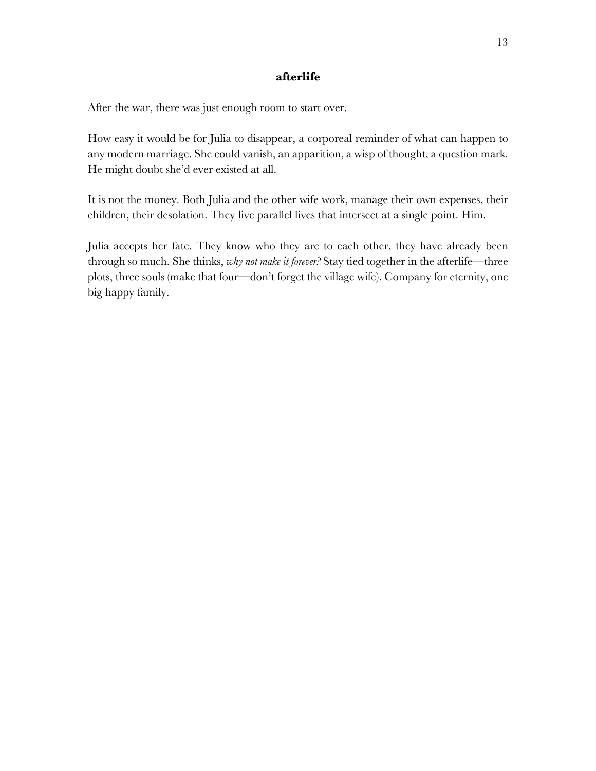## **afterlife**

After the war, there was just enough room to start over.

How easy it would be for Julia to disappear, a corporeal reminder of what can happen to any modern marriage. She could vanish, an apparition, a wisp of thought, a question mark. He might doubt she'd ever existed at all.

It is not the money. Both Julia and the other wife work, manage their own expenses, their children, their desolation. They live parallel lives that intersect at a single point. Him.

Julia accepts her fate. They know who they are to each other, they have already been through so much. She thinks, *why not make it forever?* Stay tied together in the afterlife—three plots, three souls (make that four—don't forget the village wife). Company for eternity, one big happy family.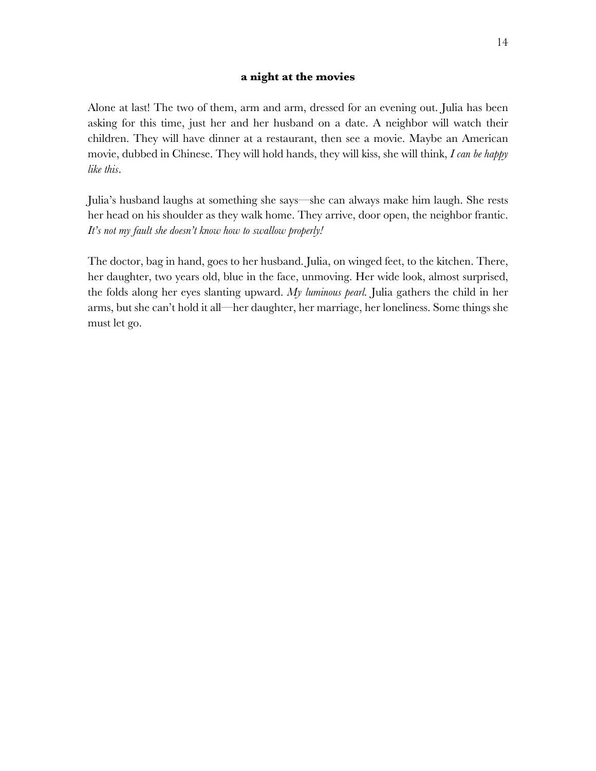## **a night at the movies**

Alone at last! The two of them, arm and arm, dressed for an evening out. Julia has been asking for this time, just her and her husband on a date. A neighbor will watch their children. They will have dinner at a restaurant, then see a movie. Maybe an American movie, dubbed in Chinese. They will hold hands, they will kiss, she will think, *I can be happy like this*.

Julia's husband laughs at something she says—she can always make him laugh. She rests her head on his shoulder as they walk home. They arrive, door open, the neighbor frantic. *It's not my fault she doesn't know how to swallow properly!*

The doctor, bag in hand, goes to her husband. Julia, on winged feet, to the kitchen. There, her daughter, two years old, blue in the face, unmoving. Her wide look, almost surprised, the folds along her eyes slanting upward. *My luminous pearl.* Julia gathers the child in her arms, but she can't hold it all—her daughter, her marriage, her loneliness. Some things she must let go.